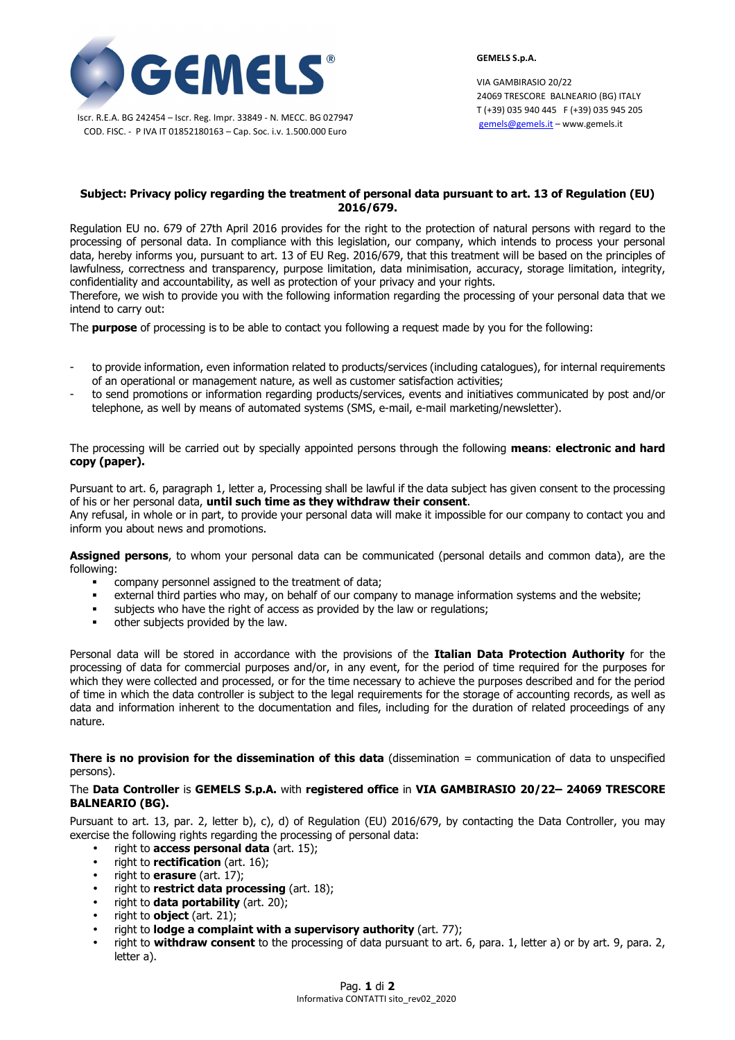

Iscr. R.E.A. BG 242454 – Iscr. Reg. Impr. 33849 - N. MECC. BG 027947 COD. FISC. - P IVA IT 01852180163 – Cap. Soc. i.v. 1.500.000 Euro

**GEMELS S.p.A.** 

VIA GAMBIRASIO 20/22 24069 TRESCORE BALNEARIO (BG) ITALY T (+39) 035 940 445 F (+39) 035 945 205 gemels@gemels.it – www.gemels.it

## **Subject: Privacy policy regarding the treatment of personal data pursuant to art. 13 of Regulation (EU) 2016/679.**

Regulation EU no. 679 of 27th April 2016 provides for the right to the protection of natural persons with regard to the processing of personal data. In compliance with this legislation, our company, which intends to process your personal data, hereby informs you, pursuant to art. 13 of EU Reg. 2016/679, that this treatment will be based on the principles of lawfulness, correctness and transparency, purpose limitation, data minimisation, accuracy, storage limitation, integrity, confidentiality and accountability, as well as protection of your privacy and your rights.

Therefore, we wish to provide you with the following information regarding the processing of your personal data that we intend to carry out:

The **purpose** of processing is to be able to contact you following a request made by you for the following:

- to provide information, even information related to products/services (including catalogues), for internal requirements of an operational or management nature, as well as customer satisfaction activities;
- to send promotions or information regarding products/services, events and initiatives communicated by post and/or telephone, as well by means of automated systems (SMS, e-mail, e-mail marketing/newsletter).

The processing will be carried out by specially appointed persons through the following **means**: **electronic and hard copy (paper).** 

Pursuant to art. 6, paragraph 1, letter a, Processing shall be lawful if the data subject has given consent to the processing of his or her personal data, **until such time as they withdraw their consent**. Any refusal, in whole or in part, to provide your personal data will make it impossible for our company to contact you and inform you about news and promotions.

**Assigned persons**, to whom your personal data can be communicated (personal details and common data), are the following:

- company personnel assigned to the treatment of data;
- external third parties who may, on behalf of our company to manage information systems and the website;
- subjects who have the right of access as provided by the law or regulations;
- other subjects provided by the law.

Personal data will be stored in accordance with the provisions of the **Italian Data Protection Authority** for the processing of data for commercial purposes and/or, in any event, for the period of time required for the purposes for which they were collected and processed, or for the time necessary to achieve the purposes described and for the period of time in which the data controller is subject to the legal requirements for the storage of accounting records, as well as data and information inherent to the documentation and files, including for the duration of related proceedings of any nature.

**There is no provision for the dissemination of this data** (dissemination = communication of data to unspecified persons).

## The **Data Controller** is **GEMELS S.p.A.** with **registered office** in **VIA GAMBIRASIO 20/22– 24069 TRESCORE BALNEARIO (BG).**

Pursuant to art. 13, par. 2, letter b), c), d) of Regulation (EU) 2016/679, by contacting the Data Controller, you may exercise the following rights regarding the processing of personal data:

- right to **access personal data** (art. 15);
- right to **rectification** (art. 16);
- right to **erasure** (art. 17);
- right to **restrict data processing** (art. 18);
- right to **data portability** (art. 20);
- right to **object** (art. 21);
- right to **lodge a complaint with a supervisory authority** (art. 77);
- right to **withdraw consent** to the processing of data pursuant to art. 6, para. 1, letter a) or by art. 9, para. 2, letter a).